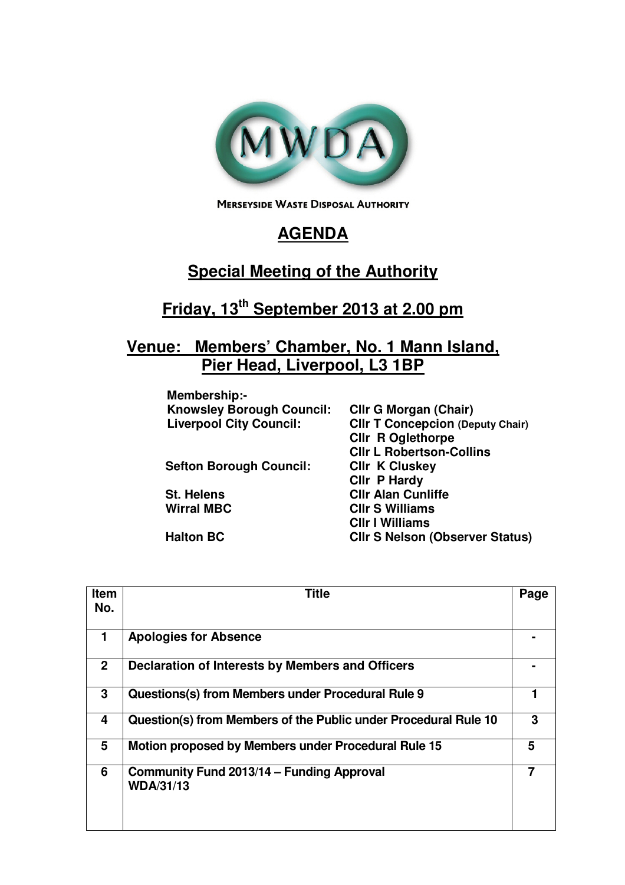

**MERSEYSIDE WASTE DISPOSAL AUTHORITY** 

## **AGENDA**

## **Special Meeting of the Authority**

## **Friday, 13th September 2013 at 2.00 pm**

## **Venue: Members' Chamber, No. 1 Mann Island, Pier Head, Liverpool, L3 1BP**

| Membership:-                     |                                         |
|----------------------------------|-----------------------------------------|
| <b>Knowsley Borough Council:</b> | <b>CIIr G Morgan (Chair)</b>            |
| <b>Liverpool City Council:</b>   | <b>CIIr T Concepcion (Deputy Chair)</b> |
|                                  | <b>CIIr R Oglethorpe</b>                |
|                                  | <b>CIIr L Robertson-Collins</b>         |
| <b>Sefton Borough Council:</b>   | <b>CIIr K Cluskey</b>                   |
|                                  | Cllr P Hardy                            |
| <b>St. Helens</b>                | <b>CIIr Alan Cunliffe</b>               |
| <b>Wirral MBC</b>                | <b>CIIr S Williams</b>                  |
|                                  | <b>CIIr I Williams</b>                  |
| <b>Halton BC</b>                 | <b>CIIr S Nelson (Observer Status)</b>  |
|                                  |                                         |

| <b>Item</b><br>No. | <b>Title</b>                                                    | Page |
|--------------------|-----------------------------------------------------------------|------|
|                    |                                                                 |      |
| 1.                 | <b>Apologies for Absence</b>                                    |      |
| $\mathbf{2}$       | Declaration of Interests by Members and Officers                |      |
| 3                  | Questions(s) from Members under Procedural Rule 9               |      |
| 4                  | Question(s) from Members of the Public under Procedural Rule 10 | 3    |
| 5                  | Motion proposed by Members under Procedural Rule 15             | 5    |
| 6                  | Community Fund 2013/14 – Funding Approval<br><b>WDA/31/13</b>   |      |